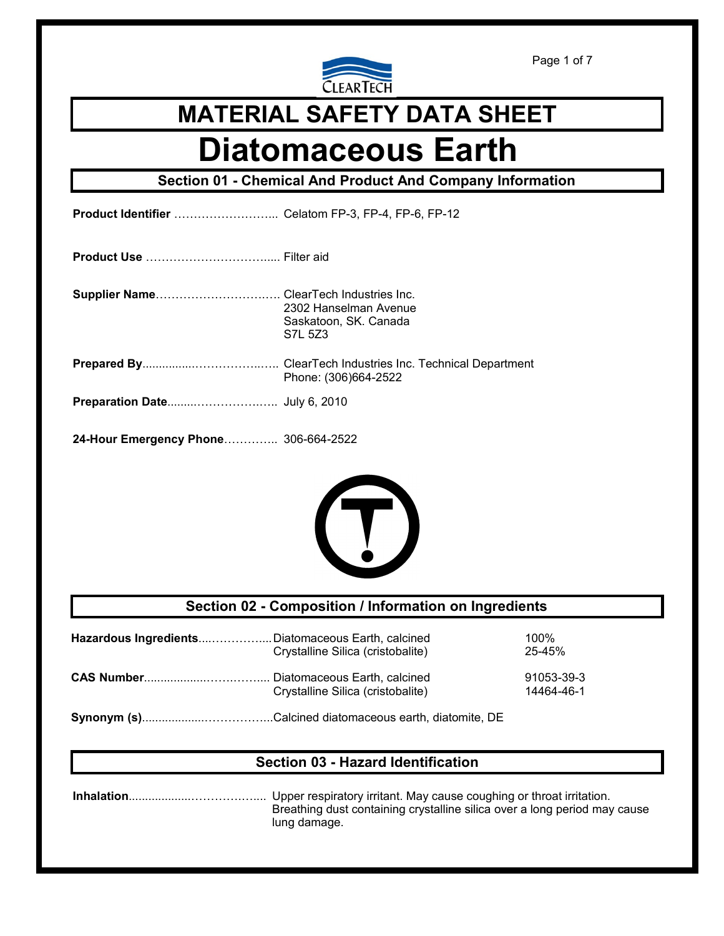

# **MATERIAL SAFETY DATA SHEET**

# **Diatomaceous Earth**

**Section 01 - Chemical And Product And Company Information**

**Product Identifier** ……………………... Celatom FP-3, FP-4, FP-6, FP-12

**Product Use** …………………………..... Filter aid

**Supplier Name**……………………….…. ClearTech Industries Inc. 2302 Hanselman Avenue Saskatoon, SK. Canada S7L 5Z3

**Prepared By**................……………..….. ClearTech Industries Inc. Technical Department Phone: (306)664-2522

**Preparation Date**.........…………….….. July 6, 2010

**24-Hour Emergency Phone**………….. 306-664-2522



#### **Section 02 - Composition / Information on Ingredients**

| Hazardous IngredientsDiatomaceous Earth, calcined | Crystalline Silica (cristobalite) | $100\%$<br>$25 - 45%$    |
|---------------------------------------------------|-----------------------------------|--------------------------|
|                                                   | Crystalline Silica (cristobalite) | 91053-39-3<br>14464-46-1 |
|                                                   |                                   |                          |

### **Section 03 - Hazard Identification**

**Inhalation**...................………….….... Upper respiratory irritant. May cause coughing or throat irritation. Breathing dust containing crystalline silica over a long period may cause lung damage.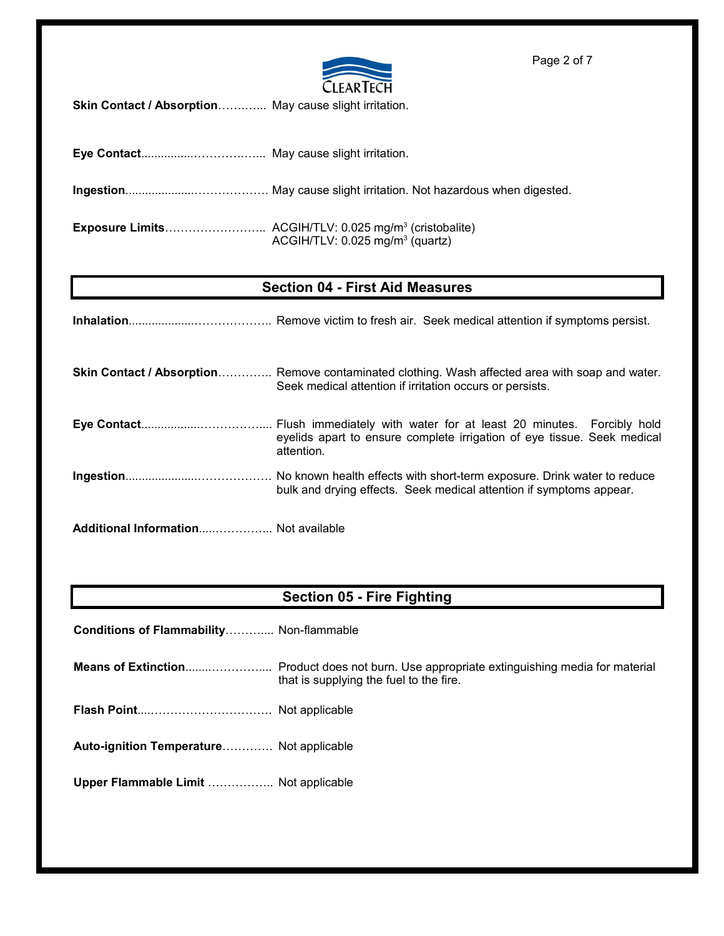

**Skin Contact / Absorption** .............. May cause slight irritation.

| ACGIH/TLV: 0.025 mg/m <sup>3</sup> (quartz) |
|---------------------------------------------|

#### **Section 04 - First Aid Measures**

| <b>Skin Contact / Absorption</b> Remove contaminated clothing. Wash affected area with soap and water.<br>Seek medical attention if irritation occurs or persists. |
|--------------------------------------------------------------------------------------------------------------------------------------------------------------------|
| Flush immediately with water for at least 20 minutes. Forcibly hold<br>eyelids apart to ensure complete irrigation of eye tissue. Seek medical<br>attention.       |
| No known health effects with short-term exposure. Drink water to reduce<br>bulk and drying effects. Seek medical attention if symptoms appear.                     |
|                                                                                                                                                                    |

## **Section 05 - Fire Fighting**

**Conditions of Flammability**……….... Non-flammable

**Means of Extinction**........………….... Product does not burn. Use appropriate extinguishing media for material that is supplying the fuel to the fire.

**Flash Point**....…………………………. Not applicable

**Auto-ignition Temperature**…………. Not applicable

**Upper Flammable Limit** …………….. Not applicable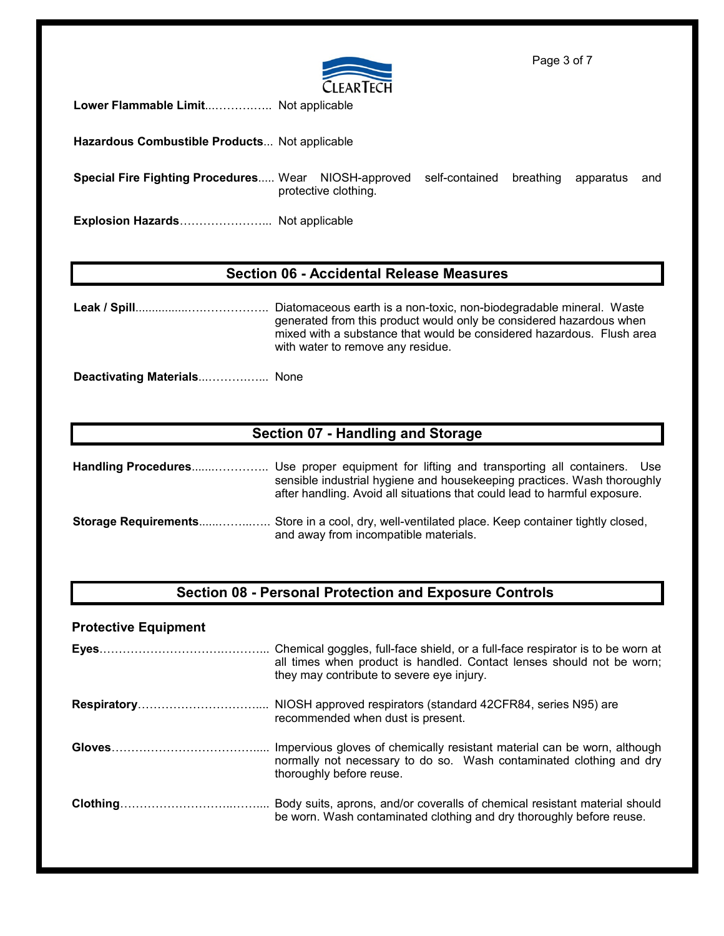

**Lower Flammable Limit**...……….….. Not applicable

**Hazardous Combustible Products**... Not applicable

**Special Fire Fighting Procedures**..... Wear NIOSH-approved self-contained breathing apparatus and protective clothing.

**Explosion Hazards**…………………... Not applicable

#### **Section 06 - Accidental Release Measures**

**Leak / Spill**................….…………….. Diatomaceous earth is a non-toxic, non-biodegradable mineral. Waste generated from this product would only be considered hazardous when mixed with a substance that would be considered hazardous. Flush area with water to remove any residue.

**Deactivating Materials**...……….…... None

#### **Section 07 - Handling and Storage**

| <b>Handling Procedures</b> Use proper equipment for lifting and transporting all containers. Use<br>sensible industrial hygiene and housekeeping practices. Wash thoroughly<br>after handling. Avoid all situations that could lead to harmful exposure. |
|----------------------------------------------------------------------------------------------------------------------------------------------------------------------------------------------------------------------------------------------------------|
| <b>Storage Requirements</b> Store in a cool, dry, well-ventilated place. Keep container tightly closed,<br>and away from incompatible materials.                                                                                                         |

#### **Section 08 - Personal Protection and Exposure Controls**

**Protective Equipment**

| Chemical goggles, full-face shield, or a full-face respirator is to be worn at<br>all times when product is handled. Contact lenses should not be worn;<br>they may contribute to severe eye injury. |
|------------------------------------------------------------------------------------------------------------------------------------------------------------------------------------------------------|
| NIOSH approved respirators (standard 42CFR84, series N95) are<br>recommended when dust is present.                                                                                                   |
| Impervious gloves of chemically resistant material can be worn, although<br>normally not necessary to do so. Wash contaminated clothing and dry<br>thoroughly before reuse.                          |
| Body suits, aprons, and/or coveralls of chemical resistant material should<br>be worn. Wash contaminated clothing and dry thoroughly before reuse.                                                   |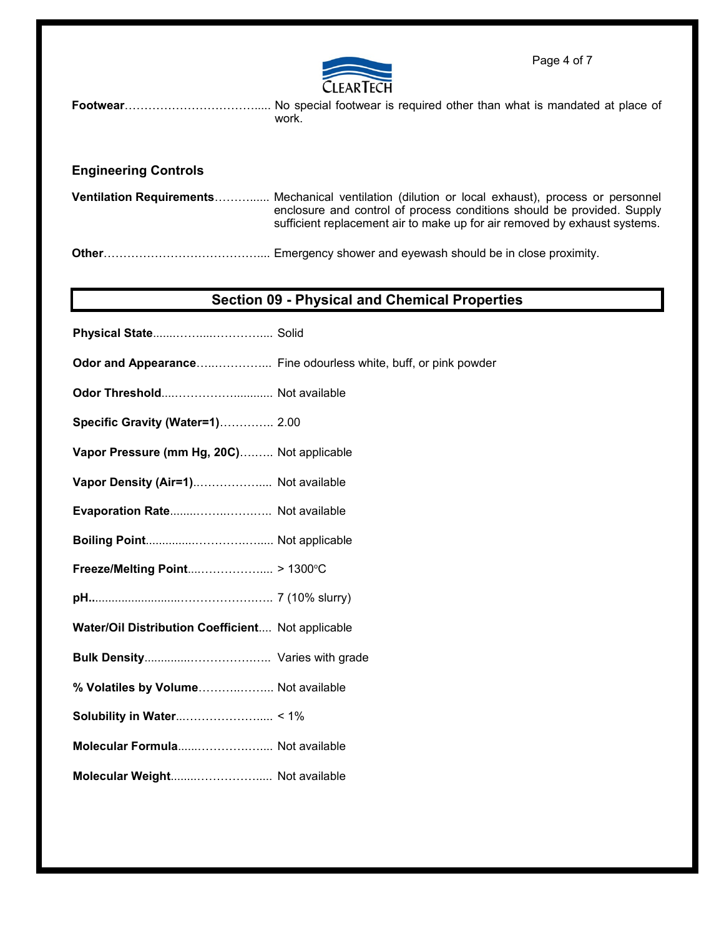

| ----------- |       |  |  |
|-------------|-------|--|--|
|             |       |  |  |
|             | work. |  |  |
|             |       |  |  |
|             |       |  |  |

| <b>Engineering Controls</b> |                                                                                                                                                                                                                                                                 |
|-----------------------------|-----------------------------------------------------------------------------------------------------------------------------------------------------------------------------------------------------------------------------------------------------------------|
|                             | <b>Ventilation Requirements</b> Mechanical ventilation (dilution or local exhaust), process or personnel<br>enclosure and control of process conditions should be provided. Supply<br>sufficient replacement air to make up for air removed by exhaust systems. |
|                             |                                                                                                                                                                                                                                                                 |

## **Section 09 - Physical and Chemical Properties**

| Odor and Appearance Fine odourless white, buff, or pink powder |
|----------------------------------------------------------------|
|                                                                |
| Specific Gravity (Water=1) 2.00                                |
| Vapor Pressure (mm Hg, 20C) Not applicable                     |
| Vapor Density (Air=1) Not available                            |
|                                                                |
|                                                                |
|                                                                |
|                                                                |
| Water/Oil Distribution Coefficient Not applicable              |
|                                                                |
| % Volatiles by Volume Not available                            |
|                                                                |
| Molecular Formula Not available                                |
|                                                                |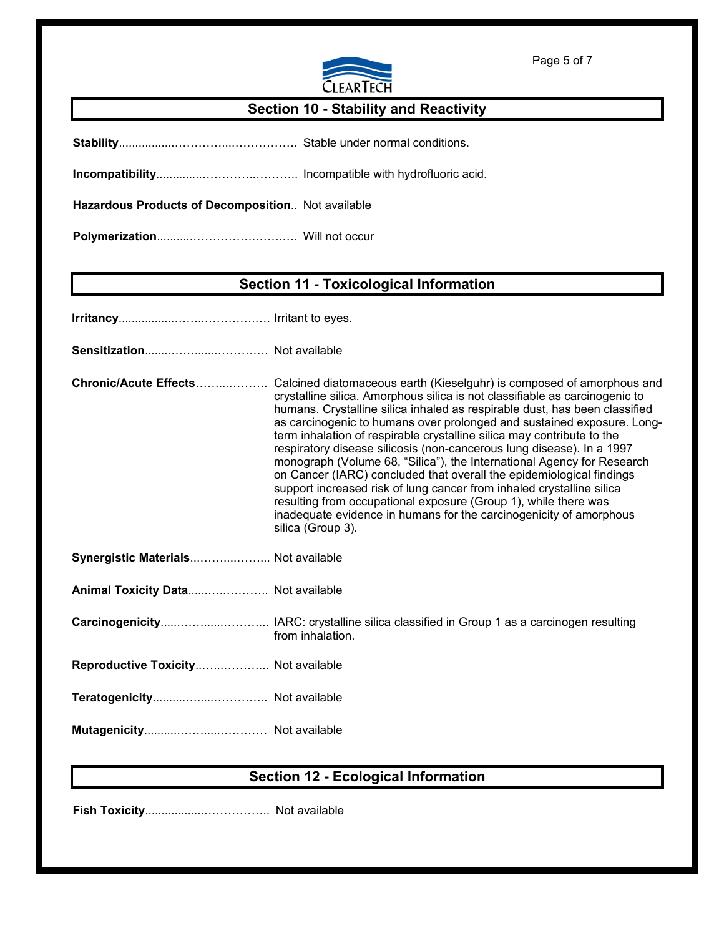

### **Section 10 - Stability and Reactivity**

**Stability**.................…………....……………. Stable under normal conditions.

**Incompatibility**..............…………..……….. Incompatible with hydrofluoric acid.

**Hazardous Products of Decomposition**.. Not available

**Polymerization**...........…………….…….…. Will not occur

#### **Section 11 - Toxicological Information**

|--|--|

**Sensitization**........…….......…………. Not available

**Chronic/Acute Effects**……...………. Calcined diatomaceous earth (Kieselguhr) is composed of amorphous and crystalline silica. Amorphous silica is not classifiable as carcinogenic to humans. Crystalline silica inhaled as respirable dust, has been classified as carcinogenic to humans over prolonged and sustained exposure. Longterm inhalation of respirable crystalline silica may contribute to the respiratory disease silicosis (non-cancerous lung disease). In a 1997 monograph (Volume 68, "Silica"), the International Agency for Research on Cancer (IARC) concluded that overall the epidemiological findings support increased risk of lung cancer from inhaled crystalline silica resulting from occupational exposure (Group 1), while there was inadequate evidence in humans for the carcinogenicity of amorphous silica (Group 3).

- **Synergistic Materials**...……....……... Not available
- **Animal Toxicity Data**......…..……….. Not available
- **Carcinogenicity**......……......………... IARC: crystalline silica classified in Group 1 as a carcinogen resulting from inhalation.

**Reproductive Toxicity**..…...………... Not available

**Teratogenicity**..........….....………….. Not available

**Mutagenicity**...........…….....………… Not available

### **Section 12 - Ecological Information**

**Fish Toxicity**..................…………….. Not available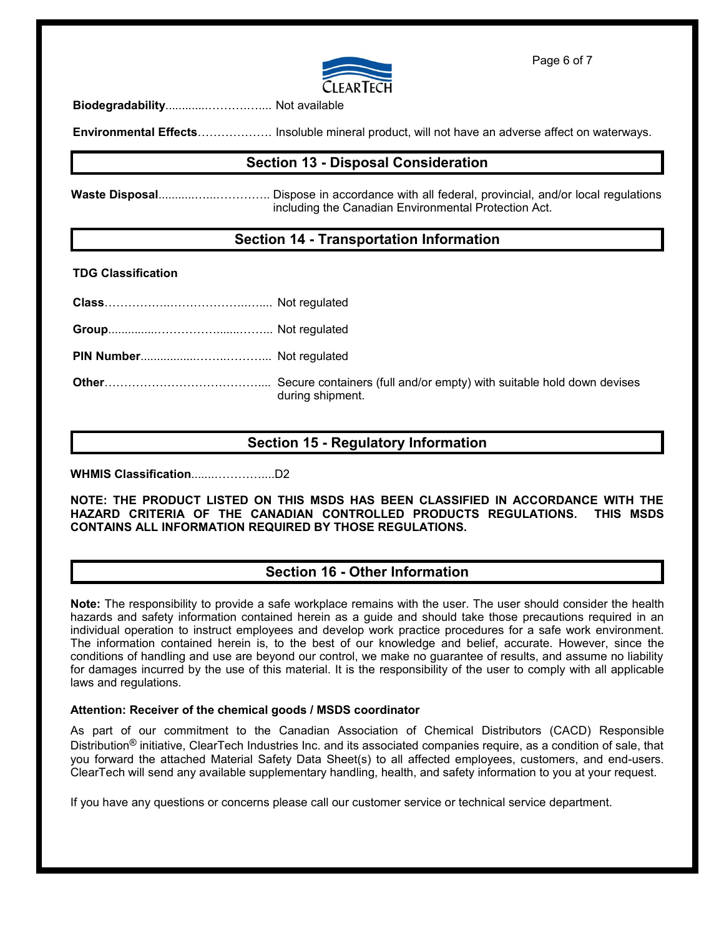

**Biodegradability**.............……….….... Not available

**Environmental Effects**………………. Insoluble mineral product, will not have an adverse affect on waterways.

#### **Section 13 - Disposal Consideration**

**Waste Disposal**...........…...………….. Dispose in accordance with all federal, provincial, and/or local regulations including the Canadian Environmental Protection Act.

#### **Section 14 - Transportation Information**

**TDG Classification**

**Class**……………..………………..….... Not regulated

**Group**...............…………….......……... Not regulated

**PIN Number**.................……..………... Not regulated

**Other**………………………………….... Secure containers (full and/or empty) with suitable hold down devises during shipment.

#### **Section 15 - Regulatory Information**

**WHMIS Classification**.......…………....D2

**NOTE: THE PRODUCT LISTED ON THIS MSDS HAS BEEN CLASSIFIED IN ACCORDANCE WITH THE HAZARD CRITERIA OF THE CANADIAN CONTROLLED PRODUCTS REGULATIONS. THIS MSDS CONTAINS ALL INFORMATION REQUIRED BY THOSE REGULATIONS.**

#### **Section 16 - Other Information**

**Note:** The responsibility to provide a safe workplace remains with the user. The user should consider the health hazards and safety information contained herein as a guide and should take those precautions required in an individual operation to instruct employees and develop work practice procedures for a safe work environment. The information contained herein is, to the best of our knowledge and belief, accurate. However, since the conditions of handling and use are beyond our control, we make no guarantee of results, and assume no liability for damages incurred by the use of this material. It is the responsibility of the user to comply with all applicable laws and regulations.

#### **Attention: Receiver of the chemical goods / MSDS coordinator**

As part of our commitment to the Canadian Association of Chemical Distributors (CACD) Responsible Distribution® initiative, ClearTech Industries Inc. and its associated companies require, as a condition of sale, that you forward the attached Material Safety Data Sheet(s) to all affected employees, customers, and end-users. ClearTech will send any available supplementary handling, health, and safety information to you at your request.

If you have any questions or concerns please call our customer service or technical service department.